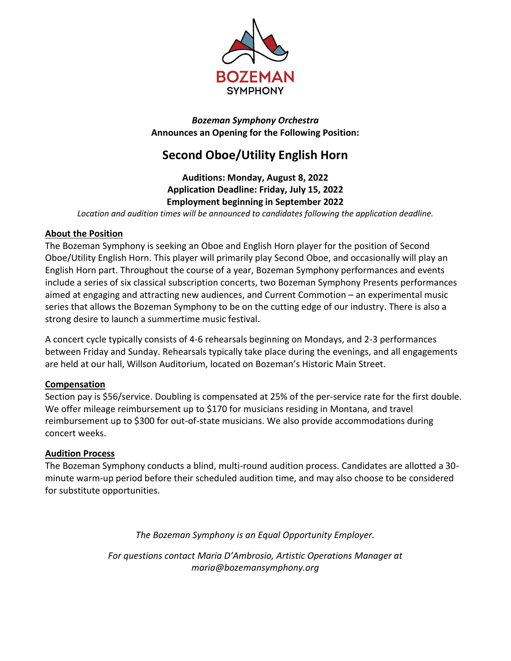

*Bozeman Symphony Orchestra* **Announces an Opening for the Following Position:**

# **Second Oboe/Utility English Horn**

## **Auditions: Monday, August 8, 2022 Application Deadline: Friday, July 15, 2022 Employment beginning in September 2022**

*Location and audition times will be announced to candidates following the application deadline.*

#### **About the Position**

The Bozeman Symphony is seeking an Oboe and English Horn player for the position of Second Oboe/Utility English Horn. This player will primarily play Second Oboe, and occasionally will play an English Horn part. Throughout the course of a year, Bozeman Symphony performances and events include a series of six classical subscription concerts, two Bozeman Symphony Presents performances aimed at engaging and attracting new audiences, and Current Commotion – an experimental music series that allows the Bozeman Symphony to be on the cutting edge of our industry. There is also a strong desire to launch a summertime music festival.

A concert cycle typically consists of 4-6 rehearsals beginning on Mondays, and 2-3 performances between Friday and Sunday. Rehearsals typically take place during the evenings, and all engagements are held at our hall, Willson Auditorium, located on Bozeman's Historic Main Street.

#### **Compensation**

Section pay is \$56/service. Doubling is compensated at 25% of the per-service rate for the first double. We offer mileage reimbursement up to \$170 for musicians residing in Montana, and travel reimbursement up to \$300 for out-of-state musicians. We also provide accommodations during concert weeks.

## **Audition Process**

The Bozeman Symphony conducts a blind, multi-round audition process. Candidates are allotted a 30 minute warm-up period before their scheduled audition time, and may also choose to be considered for substitute opportunities.

*The Bozeman Symphony is an Equal Opportunity Employer.*

*For questions contact Maria D'Ambrosio, Artistic Operations Manager at maria@bozemansymphony.org*